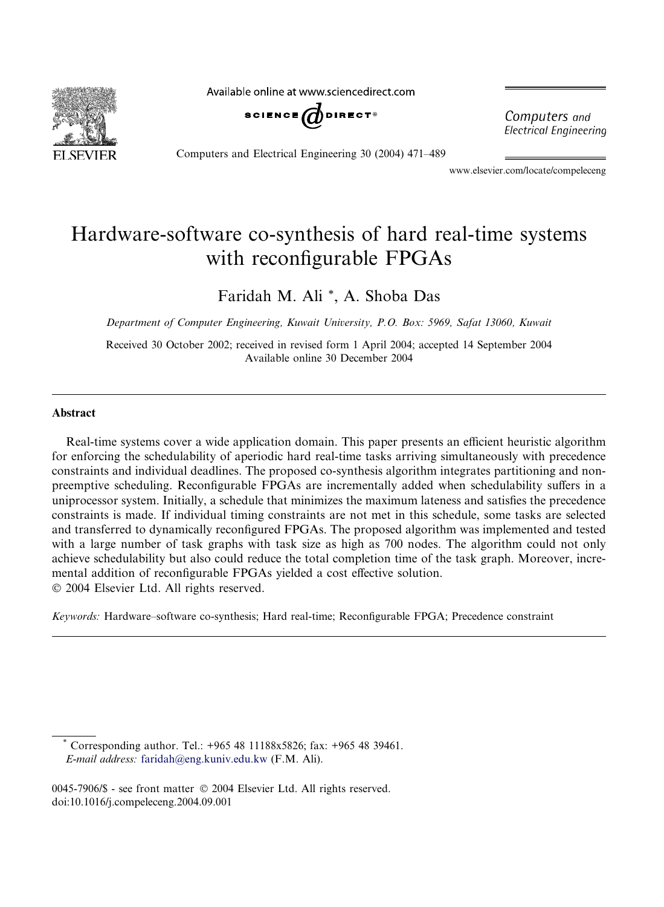

Available online at www.sciencedirect.com



Computers and Electrical Engineering 30 (2004) 471–489

Computers and **Electrical Engineering** 

www.elsevier.com/locate/compeleceng

# Hardware-software co-synthesis of hard real-time systems with reconfigurable FPGAs

### Faridah M. Ali \*, A. Shoba Das

Department of Computer Engineering, Kuwait University, P.O. Box: 5969, Safat 13060, Kuwait

Received 30 October 2002; received in revised form 1 April 2004; accepted 14 September 2004 Available online 30 December 2004

#### Abstract

Real-time systems cover a wide application domain. This paper presents an efficient heuristic algorithm for enforcing the schedulability of aperiodic hard real-time tasks arriving simultaneously with precedence constraints and individual deadlines. The proposed co-synthesis algorithm integrates partitioning and nonpreemptive scheduling. Reconfigurable FPGAs are incrementally added when schedulability suffers in a uniprocessor system. Initially, a schedule that minimizes the maximum lateness and satisfies the precedence constraints is made. If individual timing constraints are not met in this schedule, some tasks are selected and transferred to dynamically reconfigured FPGAs. The proposed algorithm was implemented and tested with a large number of task graphs with task size as high as 700 nodes. The algorithm could not only achieve schedulability but also could reduce the total completion time of the task graph. Moreover, incremental addition of reconfigurable FPGAs yielded a cost effective solution. 2004 Elsevier Ltd. All rights reserved.

Keywords: Hardware–software co-synthesis; Hard real-time; Reconfigurable FPGA; Precedence constraint

Corresponding author. Tel.: +965 48 11188x5826; fax: +965 48 39461. E-mail address: [faridah@eng.kuniv.edu.kw](mailto:faridah@eng.kuniv.edu.kw ) (F.M. Ali).

0045-7906/\$ - see front matter © 2004 Elsevier Ltd. All rights reserved. doi:10.1016/j.compeleceng.2004.09.001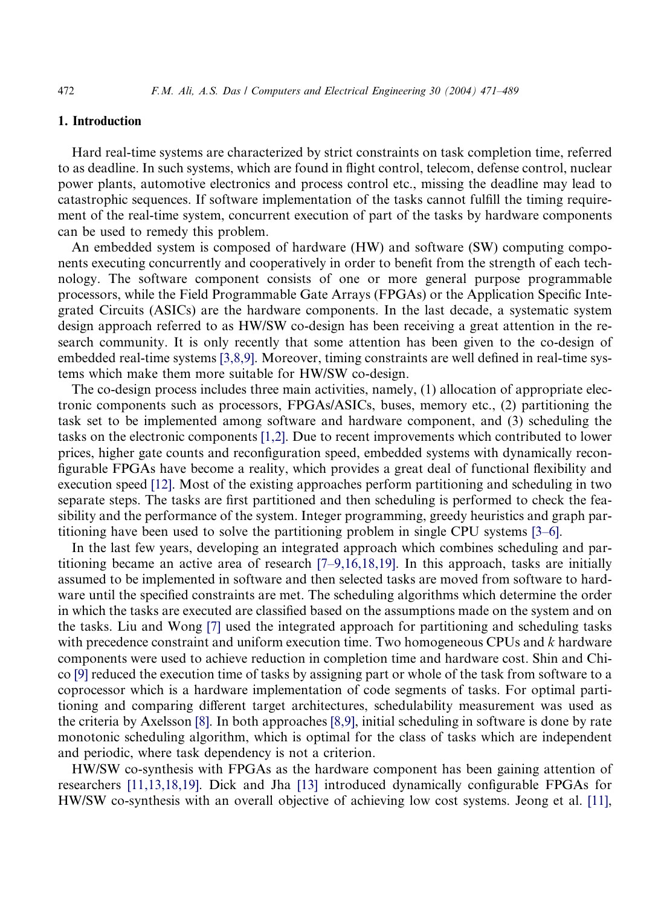#### 1. Introduction

Hard real-time systems are characterized by strict constraints on task completion time, referred to as deadline. In such systems, which are found in flight control, telecom, defense control, nuclear power plants, automotive electronics and process control etc., missing the deadline may lead to catastrophic sequences. If software implementation of the tasks cannot fulfill the timing requirement of the real-time system, concurrent execution of part of the tasks by hardware components can be used to remedy this problem.

An embedded system is composed of hardware (HW) and software (SW) computing components executing concurrently and cooperatively in order to benefit from the strength of each technology. The software component consists of one or more general purpose programmable processors, while the Field Programmable Gate Arrays (FPGAs) or the Application Specific Integrated Circuits (ASICs) are the hardware components. In the last decade, a systematic system design approach referred to as HW/SW co-design has been receiving a great attention in the research community. It is only recently that some attention has been given to the co-design of embedded real-time systems [\[3,8,9\].](#page--1-0) Moreover, timing constraints are well defined in real-time systems which make them more suitable for HW/SW co-design.

The co-design process includes three main activities, namely, (1) allocation of appropriate electronic components such as processors, FPGAs/ASICs, buses, memory etc., (2) partitioning the task set to be implemented among software and hardware component, and (3) scheduling the tasks on the electronic components [\[1,2\].](#page--1-0) Due to recent improvements which contributed to lower prices, higher gate counts and reconfiguration speed, embedded systems with dynamically reconfigurable FPGAs have become a reality, which provides a great deal of functional flexibility and execution speed [\[12\].](#page--1-0) Most of the existing approaches perform partitioning and scheduling in two separate steps. The tasks are first partitioned and then scheduling is performed to check the feasibility and the performance of the system. Integer programming, greedy heuristics and graph partitioning have been used to solve the partitioning problem in single CPU systems [\[3–6\]](#page--1-0).

In the last few years, developing an integrated approach which combines scheduling and partitioning became an active area of research [\[7–9,16,18,19\]](#page--1-0). In this approach, tasks are initially assumed to be implemented in software and then selected tasks are moved from software to hardware until the specified constraints are met. The scheduling algorithms which determine the order in which the tasks are executed are classified based on the assumptions made on the system and on the tasks. Liu and Wong [\[7\]](#page--1-0) used the integrated approach for partitioning and scheduling tasks with precedence constraint and uniform execution time. Two homogeneous CPUs and  $k$  hardware components were used to achieve reduction in completion time and hardware cost. Shin and Chico [\[9\]](#page--1-0) reduced the execution time of tasks by assigning part or whole of the task from software to a coprocessor which is a hardware implementation of code segments of tasks. For optimal partitioning and comparing different target architectures, schedulability measurement was used as the criteria by Axelsson [\[8\]](#page--1-0). In both approaches [\[8,9\],](#page--1-0) initial scheduling in software is done by rate monotonic scheduling algorithm, which is optimal for the class of tasks which are independent and periodic, where task dependency is not a criterion.

HW/SW co-synthesis with FPGAs as the hardware component has been gaining attention of researchers [\[11,13,18,19\]](#page--1-0). Dick and Jha [\[13\]](#page--1-0) introduced dynamically configurable FPGAs for HW/SW co-synthesis with an overall objective of achieving low cost systems. Jeong et al. [\[11\],](#page--1-0)